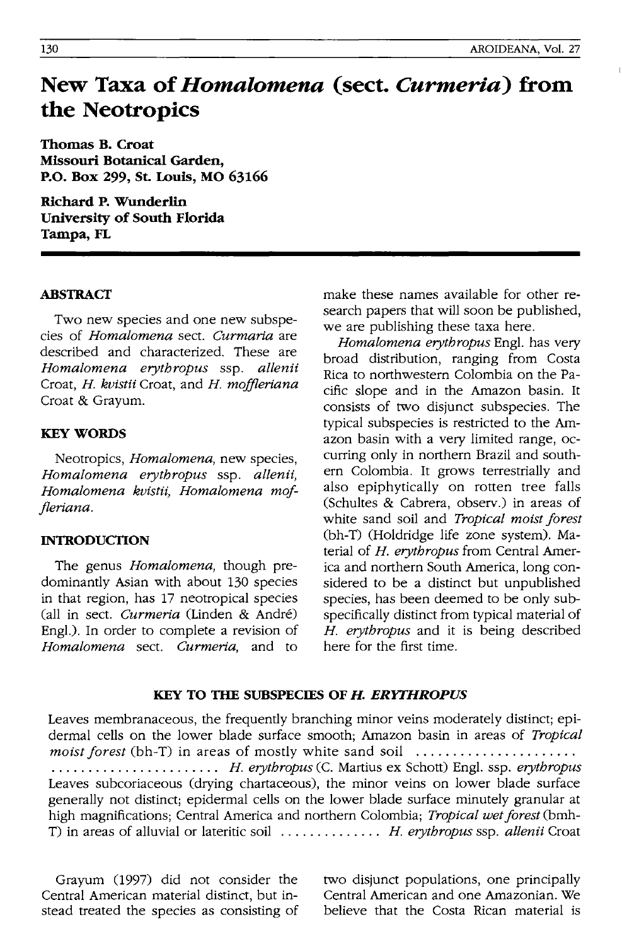# **New Taxa of** *Homalomena* **(sect.** *Curmerla)* **from the Neotropics**

**Thomas B. Croat Missouri Botanical Garden, P.O. Box 299, st. Louis, MO 63166** 

**Richard P. Wunderlin University of South Florida Tampa, FL** 

#### **ABSTRACT**

Two new species and one new subspecies of *Homalomena* sect. *Curmaria* are described and characterized. These are *Homalomena erythropus* ssp. *allenii*  Croat, H. *kvistii* Croat, and H. *moffleriana*  Croat & Grayum.

#### **KEY WORDS**

Neotropics, *Homalomena,* new species, *Homalomena erythropus* ssp. *allen* ii, *Homalomena kvistii, Homalomena mo/ jleriana.* 

## **INTRODUCTION**

The genus *Homalomena,* though predominantly Asian with about 130 species in that region, has 17 neotropical species (all in sect. *Curmeria* (Linden & Andre) Engl.). In order to complete a revision of *Homalomena* sect. *Curmeria,* and to make these names available for other research papers that will soon be published, we are publishing these taxa here.

*Homalomena erythropus* Eng!. has very broad distribution, ranging from Costa Rica to northwestern Colombia on the Pacific slope and in the Amazon basin. It consists of two disjunct subspecies. The typical subspecies is restricted to the Amazon basin with a very limited range, occurring only in northern Brazil and southern Colombia. It grows terrestrially and also epiphytically on rotten tree falls (Schultes & Cabrera, observ.) in areas of white sand soil and *Tropical moist forest*  (bh-T) (Holdridge life zone system). Material of H. *erythropus* from Central America and northern South America, long considered to be a distinct but unpublished species, has been deemed to be only subspecifically distinct from typical material of H. *erythropus* and it is being described here for the first time.

#### KEY TO THE SUBSPECIES OF *H. ERYTHROPUS*

Leaves membranaceous, the frequently branching minor veins moderately distinct; epidermal cells on the lower blade surface smooth; Amazon basin in areas of *Tropical moist forest* (bh-T) in areas of mostly white sand soil ........................ . . . . . . . . . . . . . . . . . . . . . .. H. *erythropus* (C. Martius ex Schott) Eng!. ssp. *erythropus*  Leaves subcoriaceous (drying chartaceous), the minor veins on lower blade surface generally not distinct; epidermal cells on the lower blade surface minutely granular at high magnifications; Central America and northern Colombia; *Tropical wet forest* (bmh-T) in areas of alluvial or lateritic soil .............. H. *erythropus* ssp. *allenii* Croat

Grayum (1997) did not consider the Central American material distinct, but instead treated the species as consisting of two disjunct populations, one principally Central American and one Amazonian. We believe that the Costa Rican material is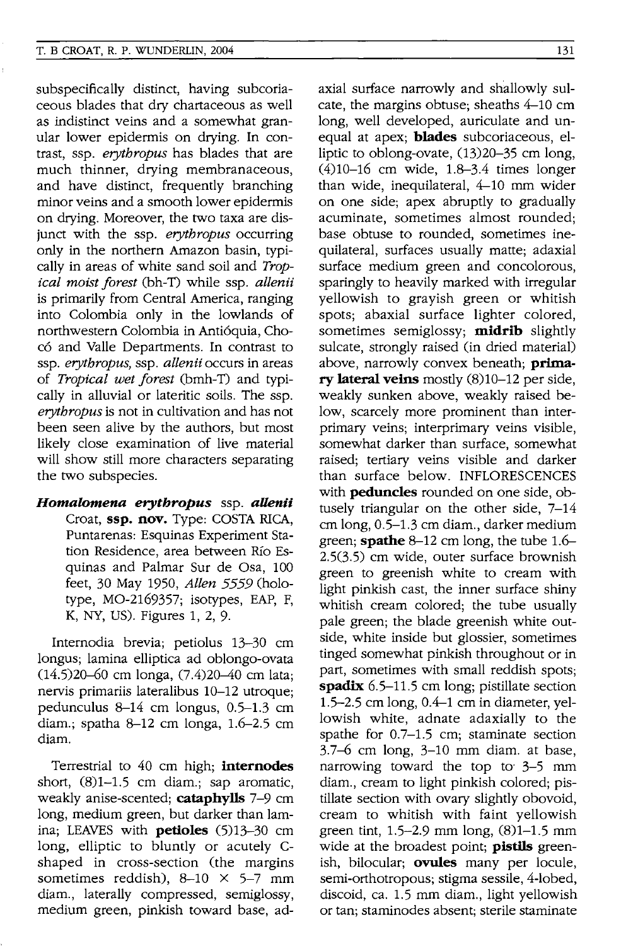subspecifically distinct, having subcoriaceous blades that dry chartaceous as well as indistinct veins and a somewhat granular lower epidermis on drying. In contrast, ssp. *erythropus* has blades that are much thinner, drying membranaceous, and have distinct, frequently branching minor veins and a smooth lower epidermis on drying. Moreover, the two taxa are disjunct with the ssp. *erythropus* occurring only in the northern Amazon basin, typically in areas of white sand soil and *Tropical moist forest* (bh-T) while ssp. *allenii*  is primarily from Central America, ranging into Colombia only in the lowlands of northwestern Colombia in Antioquia, Chocó and Valle Departments. In contrast to ssp. *erythropus,* ssp. *allenii* occurs in areas of *Tropical wet forest* (bmh-T) and typically in alluvial or lateritic soils. The ssp. *erythropus* is not in cultivation and has not been seen alive by the authors, but most likely close examination of live material will show still more characters separating the two subspecies.

*Homalomena erythropus* ssp. *allenii*  Croat, **ssp. nov.** Type: COSTA RICA, Puntarenas: Esquinas Experiment Station Residence, area between Rio Esquinas and Palmar Sur de Osa, 100 feet, 30 May 1950, *Allen* 5559 (holotype, MO-2169357; isotypes, EAP, P, K, NY, US). Figures 1, 2, 9.

Internodia brevia; petiolus 13-30 cm longus; lamina elliptica ad oblongo-ovata (14.5)20-60 cm longa, (7.4)20-40 cm lata; nervis primariis lateralibus 10-12 utroque; pedunculus 8-14 em longus, 0.5-1.3 cm diam.; spatha 8-12 cm longa, 1.6-2.5 cm diam.

Terrestrial to 40 cm high; **internodes**  short, (8)1-1.5 cm diam.; sap aromatic, weakly anise-scented; **cataphylls** 7-9 cm long, medium green, but darker than lamina; LEAVES with **petioles** (5)13-30 em long, elliptic to bluntly or acutely Cshaped in cross-section (the margins sometimes reddish),  $8-10 \times 5-7$  mm diam., laterally compressed, semiglossy, medium green, pinkish toward base, adaxial surface narrowly and shallowly sulcate, the margins obtuse; sheaths 4-10 cm long, well developed, auriculate and unequal at apex; **blades** subcoriaceous, elliptic to oblong-ovate, (13)20-35 em long, (4)10-16 cm wide, 1.8-3.4 times longer than wide, inequilateral, 4-10 mm wider on one side; apex abruptly to gradually acuminate, sometimes almost rounded; base obtuse to rounded, sometimes inequilateral, surfaces usually matte; adaxial surface medium green and concolorous, sparingly to heavily marked with irregular yellowish to grayish green or whitish spots; abaxial surface lighter colored, sometimes semiglossy; **midrib** slightly sulcate, strongly raised (in dried material) above, narrowly convex beneath; **prima·**  ry **lateral veins** mostly (8)10-12 per side, weakly sunken above, weakly raised below, scarcely more prominent than interprimary veins; interprimary veins visible, somewhat darker than surface, somewhat raised; tertiary veins visible and darker than surface below. INFLORESCENCES with **peduncles** rounded on one side, obtusely triangular on the other side, 7-14 cm long, 0.5-1.3 cm diam., darker medium green; **spathe** 8-12 cm long, the tube 1.6- 2.5(3.5) cm wide, outer surface brownish green to greenish white to cream with light pinkish cast, the inner surface shiny whitish cream colored; the tube usually pale green; the blade greenish white outside, white inside but glossier, sometimes tinged somewhat pinkish throughout or in part, sometimes with small reddish spots; **spadix** 6.5-11.5 cm long; pistillate section 1.5-2.5 cm long, 0.4-1 em in diameter, yellowish white, adnate adaxially to the spathe for 0.7-1.5 cm; staminate section 3.7-6 cm long, 3-10 mm diam. at base, narrowing toward the top to' 3-5 mm diam., cream to light pinkish colored; pistillate section with ovary slightly obovoid, cream to whitish with faint yellowish green tint, 1.5-2.9 mm long, (8)1-1.5 mm wide at the broadest point; **pistils** greenish, bilocular; **ovules** many per locule, semi-orthotropous; stigma sessile, 4-10bed, discoid, ca. 1.5 mm diam., light yellowish or tan; staminodes absent; sterile staminate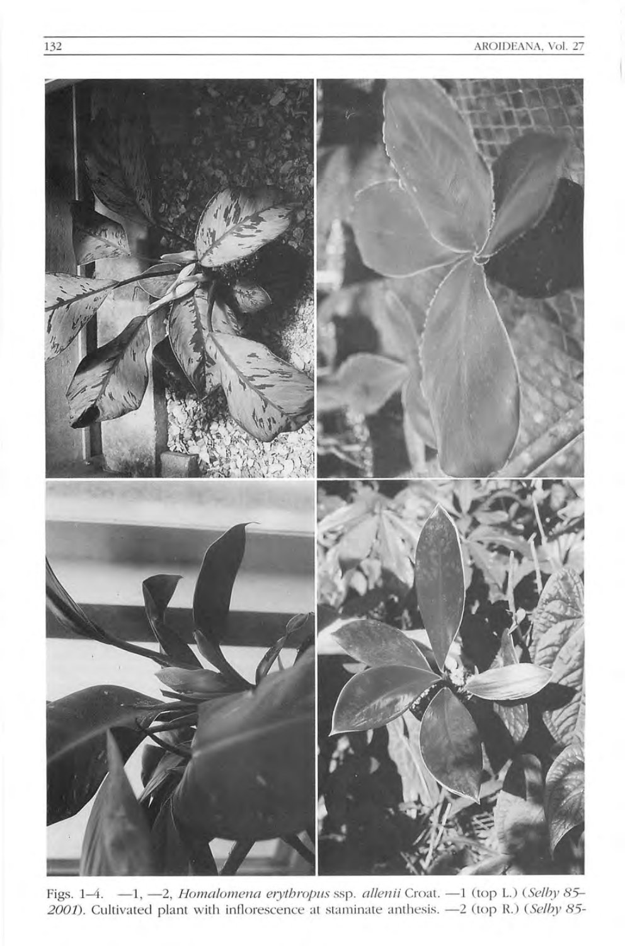

Figs. 1-4. -1, -2, Homalomena erythropus ssp. allenii Croat. -1 (top L.) (Selby 85-). Cultivated plant with inflorescence at staminate anthesis.  $-2$  (top R.) (Selby 85- $2001$ ).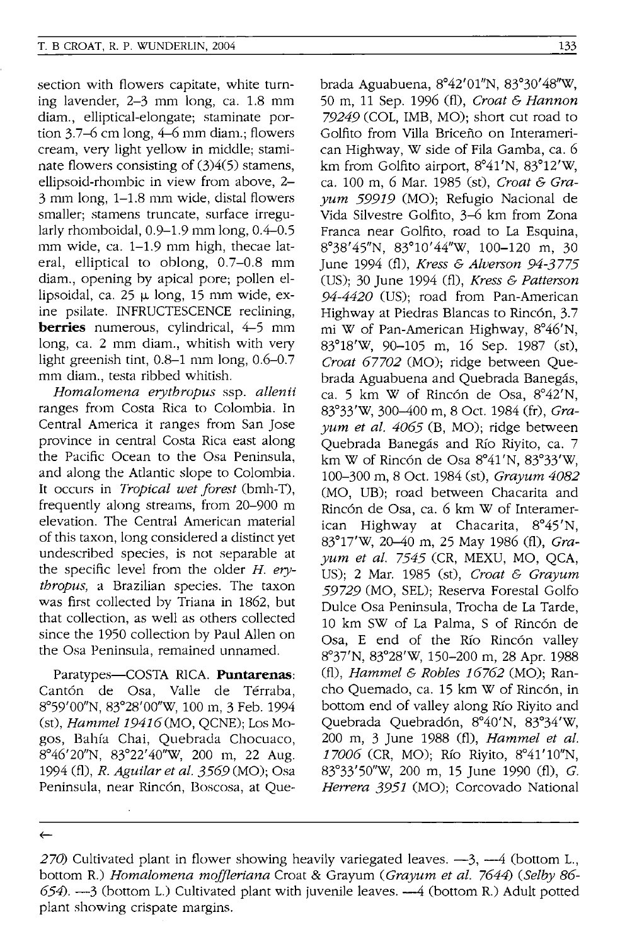section with flowers capitate, white turning lavender, 2-3 mm long, ca. 1.8 mm diam., elliptical-elongate; staminate portion 3.7-6 cm long, 4-6 mm diam.; flowers cream, very light yellow in middle; staminate flowers consisting of (3)4(5) stamens, ellipsoid-rhombic in view from above, 2- 3 mm long, 1-1.8 mm wide, distal flowers smaller; stamens truncate, surface irregularly rhomboidal, 0.9-1.9 mm long, 0.4-0.5 mm wide, ca. 1-1.9 mm high, thecae lateral, elliptical to oblong, 0.7-0.8 mm diam., opening by apical pore; pollen ellipsoidal, ca. 25  $\mu$  long, 15 mm wide, exine psilate. INFRUCTESCENCE reclining, **berries** numerous, cylindrical, 4-5 mm long, ca. 2 mm diam., whitish with very light greenish tint, 0.8-1 mm long, 0.6-0.7 mm diam., testa ribbed whitish.

*Homalomena erythropus* ssp. *allenii*  ranges from Costa Rica to Colombia. In Central America it ranges from San Jose province in central Costa Rica east along the Pacific Ocean to the Osa Peninsula, and along the Atlantic slope to Colombia. It occurs in *Tropical wet forest* (bmh-T), frequently along streams, from 20-900 m elevation. The Central American material of this taxon, long considered a distinct yet undescribed species, is not separable at the specific level from the older *H. erythropus,* a Brazilian species. The taxon was first collected by Triana in 1862, but that collection, as well as others collected since the 1950 collection by Paul Allen on the Osa Peninsula, remained unnamed.

Paratypes-COSTA RICA. **Puntarenas:**  Cantón de Osa, Valle de Térraba, 8°59'00"N, 83°28'00"W, 100 m, 3 Feb. 1994 (st), *Hammel* 19416(MO, QCNE); Los Mogos, Bahfa Chai, Quebrada Chocuaco, 8°46'20"N, 83°22'40"W, 200 m, 22 Aug. 1994 (fl), *R. Aguilar et al.* 3569 (MO); Osa Peninsula, near Rincón, Boscosa, at Quebrada Aguabuena, 8°42'01"N, 83°30' 48''W, 50 m, 11 Sep. 1996 (fl), *Croat* & *Hannon*  79249 (COL, 1MB, MO); short cut road to Golfito from Villa Briceño on Interamerican Highway, W side of Fila Gamba, ca. 6 km from Golfito airport, 8°41'N, 83°12'W, ca. 100 m, 6 Mar. 1985 (st), *Croat* & *Grayum* 59919 (MO); Refugio Nacional de Vida Silvestre Golfito, 3-6 km from Zona Franca near Golfito, road to La Esquina, 8°38'45"N, 83°1O'44"W, 100-120 m, 30 June 1994 (fl), *Kress* & *Alverson 94-3775*  (US); 30 June 1994 (fl), *Kress* & *Patterson 94-4420* (US); road from Pan-American Highway at Piedras Blancas to Rincón, 3.7 mi W of Pan-American Highway, 8°46'N, 83°18'W, 90-105 m, 16 Sep. 1987 (st), *Croat 67702* (MO); ridge between Quebrada Aguabuena and Quebrada Banegás, ca. 5 km W of Rincón de Osa,  $8^{\circ}42'N$ , 83°33'W, 300-400 m, 8 Oct. 1984 (fr), *Grayum et al. 4065 (B,* MO); ridge between Quebrada Banegás and Río Rivito, ca. 7 km W of Rincón de Osa 8°41'N, 83°33'W, 100-300 m, 8 Oct. 1984 (st), *Grayum 4082*  (MO, UB); road between Chacarita and Rincón de Osa, ca. 6 km W of Interamerican Highway at Chacarita, 8°45'N, 83°17'W, 20-40 m, 25 May 1986 (fl), *Grayum et al.* 7545 (CR, MEXU, MO, QCA, US); 2 Mar. 1985 (st), *Croat* & *Grayum*  59729 (MO, SEL); Reserva Forestal Golfo Dulce Osa Peninsula, Trocha de La Tarde, 10 km SW of La Palma, S of Rincón de Osa, E end of the Río Rincón valley 8°37'N, 83°28'W, 150-200 m, 28 Apr. 1988 (fl), *Hammel* & *Robles* 16762 (MO); Rancho Quemado, ca. 15 km W of Rincón, in bottom end of valley along Rio Riyito and Quebrada Quebradon, 8°40'N, 83°34'W, 200 m, 3 June 1988 (fl), *Hammel et al. 17006* (CR, MO); Rfo Riyito, 8°41'10"N, 83°33'50"W, 200 m, 15 June 1990 (fl), G. *Herrera* 3951 (MO); Corcovado National

<sup>270)</sup> Cultivated plant in flower showing heavily variegated leaves.  $-3$ ,  $-4$  (bottom L., bottom R) *Homalomena moffleriana* Croat & Grayum *(Grayum et al.* 7644) *(Selby 86-* 654). -3 (bottom L.) Cultivated plant with juvenile leaves. --4 (bottom R) Adult potted plant showing crispate margins.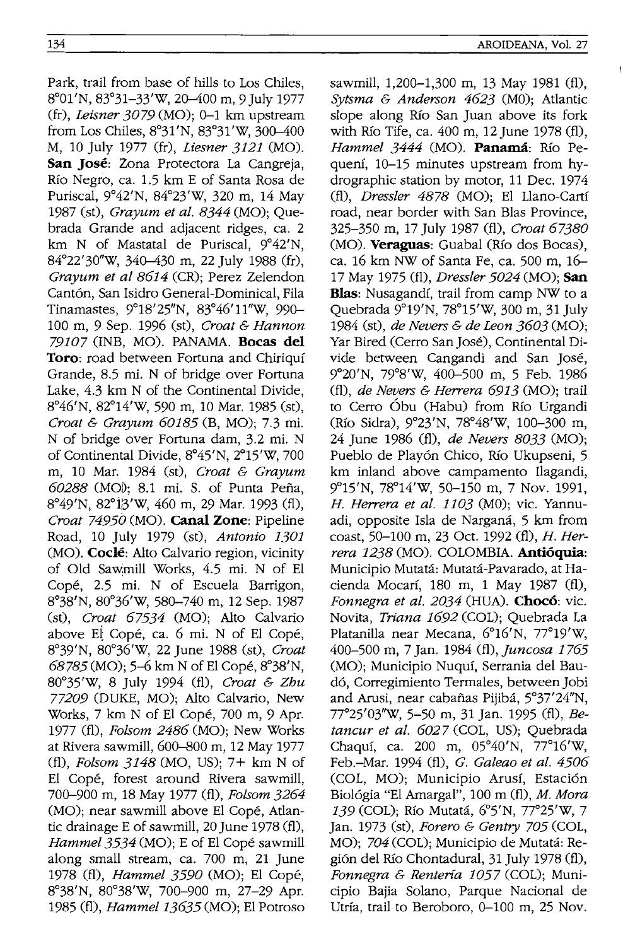Park, trail from base of hills to Los Chiles, 8°01'N, 83°31-33'W, 20-400 m, 9 July 1977 (fr), *Leisner 3079* (MO); 0-1 km upstream from Los Chiles, 8°31'N, 83°31'W, 300-400 M, 10 July 1977 (fr), *Liesner* 3121 (MO). **San Jose:** Zona Protectora La Cangreja, Rio Negro, ca. 1.5 km E of Santa Rosa de Puriscal, 9°42'N, 84°23'W, 320 m, 14 May 1987 (st), *Grayum et al. 8344* (MO); Quebrada Grande and adjacent ridges, ca. 2 km N of Mastatal de Puriscal, 9°42'N, 84°22'30"W, 340-430 m, 22 July 1988 (fr), *Grayum et al* 8614 (CR); Perez Zelendon Cantón, San Isidro General-Dominical, Fila Tinamastes, 9°18' *25/N,* 83°46' l1''W, 990- 100 m, 9 Sep. 1996 (st), *Croat* & *Hannon 79107* CINB, MO). PANAMA. **Bocas del Toro:** road between Fortuna and Chiriqui Grande, 8.5 mi. N of bridge over Fortuna Lake, 4.3 km N of the Continental Divide, 8°46'N, 82°14'W, 590 m, 10 Mar. 1985 (st), *Croat* & *Grayum 60185 (B,* MO); 7.3 mi. N of bridge over Fortuna dam, 3.2 mi. N of Continental Divide, 8°45'N, 2°15'W, 700 m, 10 Mar. 1984 (st), *Croat* & *Grayum 60288* (MO); 8.1 mi. S. of Punta Peña, 8°49'N, 82°13'W, 460 m, 29 Mar. 1993 (fl), *Croat 74950* (MO). **Canal Zone:** Pipeline Road, 10 July 1979 (st), *Antonio 1301*  (MO). **Code:** Alto Calvario region, vicinity of Old Sawmill Works, 4.5 mi. N of El Cope, 2.5 mi. N of Escuela Barrigon, 8°38'N, 80°36'W, 580-740 m, 12 Sep. 1987 (st), *Croat* 67534 (MO); Alto Calvario above El Copé, ca. 6 mi. N of El Copé, 8°39'N, 80<sup>0</sup> 36'W, 22 June 1988 (st) , *Croat*  68785 (MO); 5-6 km N of El Copé, 8°38'N, 80<sup>0</sup> 35'W, 8 July 1994 (ft), *Croat* & *Zhu 77209* (DUKE, MO); Alto Calvario, New Works, 7 km N of El Copé, 700 m, 9 Apr. 1977 (fl), *Folsom* 2486 (MO); New Works at Rivera sawmill, 600-800 m, 12 May 1977 (fl)' *Folsom* 3148 (MO, US); 7+ km N of EI Cope, forest around Rivera sawmill, 700-900 m, 18 May 1977 (ft), *Folsom 3264*  (MO); near sawmill above EI Cope, Atlantic drainage E of sawmill, 20 June 1978 (fl), *Hammel 3534* (MO); E of El Copé sawmill along small stream, ca. 700 m, 21 June 1978 (ft), *Hammel 3590* (MO); EI Cope, 8°38'N, 80°38'W, 700-900 m, 27-29 Apr. 1985 (ft), *Hammel* 13635 (MO); EI Potroso

sawmill, 1,200-1,300 m, 13 May 1981 (fl), *Sytsma* & *Anderson* 4623 (MO); Atlantic slope along Rio San Juan above its fork with Río Tife, ca. 400 m, 12 June 1978 (fl), *Hammel* 3444 (MO). **Panama:** Rio Pequení. 10-15 minutes upstream from hydrographic station by motor, 11 Dec. 1974 (ft), *Dressler* 4878 (MO); EI Llano-Carti road, near border with San BIas Province, 325-350 m, 17 July 1987 (ft), *Croat 67380*  (MO). **Veraguas:** Guabal (Rio dos Bocas), ca. 16 km NW of Santa Fe, ca. 500 m, 16- 17 May 1975 (ft), *Dressler 5024* (MO); **San Bias:** Nusagandi, trail from camp NW to a Quebrada 9°19'N, 78°15'W, 300 m, 31 July 1984 (st), *de Nevers* & *de Leon 3603* (MO); Yar Bired (Cerro San Jose), Continental Divide between Cangandi and San Jose, 9°20'N, 79°8'W, 400-500 m, 5 Feb. 1986 (fl), *de Nevers* & *Herrera* 6913 (MO); trail to Cerro Obu (Habu) from Rio Urgandi (Rio Sidra), 9°23'N, 78°48'W, 100-300 m, 24 June 1986 (ft), *de Nevers 8033* (MO); Pueblo de Playon Chico, Rio Ukupseni, 5 km inland above campamento Ilagandi, 9°15'N, 78°14'W, 50-150 m, 7 Nov. 1991, *H. Herrera et al. 1103* (MO); vic. Yannuadi, opposite Isla de Narganá, 5 km from coast, 50-100 m, 23 Oct. 1992 (ft), *H. Herrera* 1238 (MO). COLOMBIA. **Antioquia:**  Municipio Mutata: Mutata-Pavarado, at Hacienda Mocari, 180 m, 1 May 1987 (ft), *Fonnegra et al. 2034* (HUA). **Choco:** vic. Novita, *Triana* 1692 (COL); Quebrada La Platanilla near Mecana, 6°16'N, 77°19'W, 400-500 m, 7 Jan. 1984 (ft), *}uncosa 1765*  (MO); Municipio Nuqui, Serrania del Baudó, Corregimiento Termales, between Jobi and Arusi, near cabanas Pijiba, *5°37'24/N,*  77°25'03''W, 5-50 m, 31 Jan. 1995 (fl), *Betancur et al. 6027* (COL, US); Quebrada Chaqui, ca. 200 m, 05°40'N, 77°16'w, Feb.-Mar. 1994 (ft), G. *Galeao et al. 4506*  (COL, MO); Municipio Arusi, Estacion Biologia "E! Amargal", 100 m (ft), *M. Mora*  139 (COL); Rio Mutata, 6°5'N, 77°25'W, 7 Jan. 1973 (st) , *Forero* & *Gentry 705* (COL, MO); *704* (COL); Municipio de Mutata: Región del Río Chontadural, 31 July 1978 (fl), *Fonnegra* & *Renteria 1057* (COL); Municipio Bajia Solano, Parque Nacional de Utria, trail to Beroboro, 0-100 m, 25 Nov.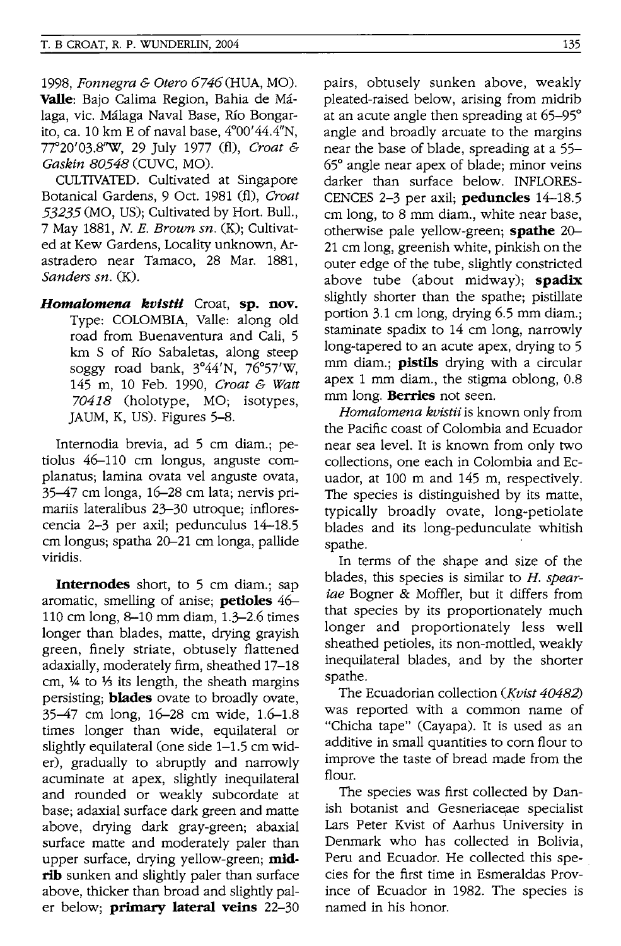*1998, Fonnegra* & *Otero* 6746 (HUA, MO). **Valle:** Bajo Calima Region, Bahia de Malaga, vic. Malaga Naval Base, Rio Bongarito, ca. 10 km E of naval base,  $4^{\circ}00'44.4''$ N, 77"20'03.8"W, 29 July 1977 (fl), *Croat* & *Gaskin 80548* (CUVC, MO).

CULTIVATED. Cultivated at Singapore Botanical Gardens, 9 Oct. 1981 (fl), *Croat*  53235 (MO, US); Cultivated by Hort. Bull., 7 May 1881, N. *E. Brown sn.* (K); Cultivated at Kew Gardens, Locality unknown, Arastradero near Tamaco, 28 Mar. 1881, *Sanders sn.* (K).

*Homalomena kvistli* Croat, **sp. nov.**  Type: COLOMBIA, Valle: along old road from Buenaventura and Cali, 5 km S of Rio Sabaletas, along steep soggy road bank, 3°44'N, 76°57'W, 145 m, 10 Feb. 1990, *Croat* & *Watt 70418* (holotype, MO; isotypes, JAUM, K, US). Figures 5-8.

Intemodia brevia, ad 5 cm diam.; petiolus 46-110 cm longus, anguste complanatus; lamina ovata vel anguste ovata, 35-47 cm longa, 16-28 cm lata; nervis primariis lateralibus 23-30 utroque; inflorescencia 2-3 per axil; pedunculus 14-18.5 cm longus; spatha 20-21 cm longa, pallide viridis.

**Internodes** short, to 5 cm diam.; sap aromatic, smelling of anise; **petioles** 46- 110 cm long, 8--10 mm diam, 1.3-2.6 times longer than blades, matte, drying grayish green, finely striate, obtusely flattened adaxially, moderately firm, sheathed 17-18 cm,  $\frac{1}{4}$  to  $\frac{1}{3}$  its length, the sheath margins persisting; **blades** ovate to broadly ovate, 35-47 cm long, 16-28 cm wide, 1.6-1.8 times longer than wide, equilateral or slightly equilateral (one side 1-1.5 cm wider), gradually to abruptly and narrowly acuminate at apex, slightly inequilateral and rounded or weakly subcordate at base; adaxial surface dark green and matte above, drying dark gray-green; abaxial surface matte and moderately paler than upper surface, drying yellow-green; **midrib** sunken and slightly paler than surface above, thicker than broad and slightly paler below; **primary lateral veins** 22-30 pairs, obtusely sunken above, weakly pleated-raised below, arising from midrib at an acute angle then spreading at 65–95° angle and broadly arcuate to the margins near the base of blade, spreading at a 55- 65° angle near apex of blade; minor veins darker than surface below. INFLORES-CENCES 2-3 per axil; **peduncles** 14-18.5 cm long, to 8 mm diam., white near base, otherwise pale yellow-green; **spathe** 20- 21 cm long, greenish white, pinkish on the outer edge of the tube, slightly constricted above tube (about midway); **spadix**  slightly shorter than the spathe; pistillate portion 3.1 cm long, drying 6.5 mm diam.; staminate spadix to 14 cm long, narrowly long-tapered to an acute apex, drying to 5 mm diam.; **pistils** drying with a circular apex 1 mm diam., the stigma oblong, 0.8 mm long. **Berries** not seen.

*Bomalomena kvistit* is known only from the Pacific coast of Colombia and Ecuador near sea level. It is known from only two collections, one each in Colombia and Ecuador, at 100 m and 145 m, respectively. The species is distinguished by its matte, typically broadly ovate, long-petiolate blades and its long-pedunculate whitish spathe.

In terms of the shape and size of the blades, this species is similar to *H. speariae* Bogner & Moffler, but it differs from that species by its proportionately much longer and proportionately less well sheathed petioles, its non-mottled, weakly inequilateral blades, and by the shorter spathe.

The Ecuadorian collection *(Kvist 40482)*  was reported with a common name of "Chicha tape" (Cayapa). It is used as an additive in small quantities to com flour to improve the taste of bread made from the flour.

The species was first collected by Danish botanist and Gesneriaceae specialist Lars Peter Kvist of Aarhus University in Denmark who has collected in Bolivia, Peru and Ecuador. He collected this species for the first time in Esmeraldas Province of Ecuador in 1982. The species is named in his honor.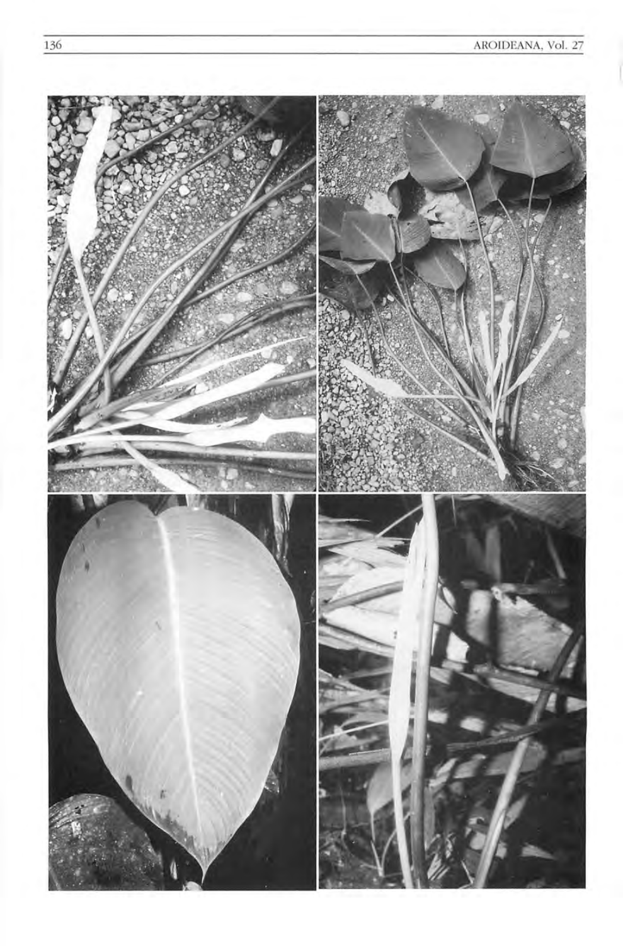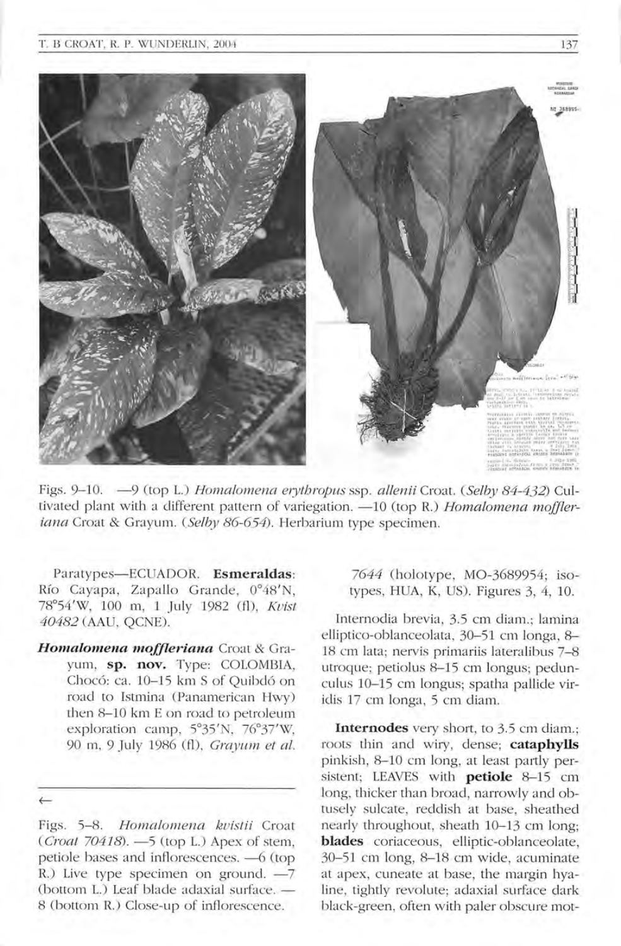#### T. B CROAT, R. P. WUNDERLIN, 2004 137



Figs. 9-10. -9 (top L.) *H0111alo111ena elJlthropus* ssp. *allenii* Croat. *(Selby* 84-432) Cultivated plant with a different pattern of variegation.  $-10$  (top R.) *Homalomena moffleriana* Croat & Grayum. *(Selby 86-654)*. Herbarium type specimen.

Paratypes-ECUADOR. **Esmeraldas**: Río Cayapa, Zapallo Grande, 0°48'N, 78°54'W, 100 m, 1 July 1982 (fl), *Kvist* 40482 (AAU, QCNE).

**Homalomena moffleriana** Croat & Grayum, **sp. nov.** Type: COLOMBIA, Chocó: ca. 10-15 km S of Quibdó on road to Istmina (Panamerican Hwy) then  $8-10$  km E on road to petroleum exploration camp, 5°35'N, 76°37'W, 90 m, 9 July 1986 (fl), *Grayum et al.* 

 $\leftarrow$ 

Figs. 5-8. *Homalomena kvistii* Croat (*Croat 70418*).  $-5$  (top L.) Apex of stem, petiole bases and inflorescences. - 6 (top R.) Live type specimen on ground.  $-7$ (bottom L.) Leaf blade adaxial surface. -8 (bottom R.) Close-up of inflorescence.

7644 (holotype, MO-3689954; isotypes, HUA, K, US). Figures 3, 4, 10.

Internodia brevia, 3.5 cm diam.; lamina elliptico-oblanceolata, 30–51 cm longa, 8– 18 cm lata; nervis primariis lateralibus 7-8 utroque; petiolus 8–15 cm longus; pedunculus 10-15 cm longus; spatha pallide viridis 17 cm longa, 5 cm diam.

**Internodes** very short, to 3.5 cm diam.; roots thin and wiry, dense; cataphylls pinkish, 8-10 cm long, at least partly persistent; LEAVES with **petiole** 8-15 cm long, thicker than broad, narrowly and obtusely sulcate, reddish at base, sheathed nearly throughout, sheath 10-13 cm long; **blades** coriaceous, elliptic-oblanceolate, 30-51 cm long, 8-18 cm wide, acuminate at apex, cuneate at base, the margin hyaline, tightly revolute; adaxial surface dark black-green, often with paler obscure mot